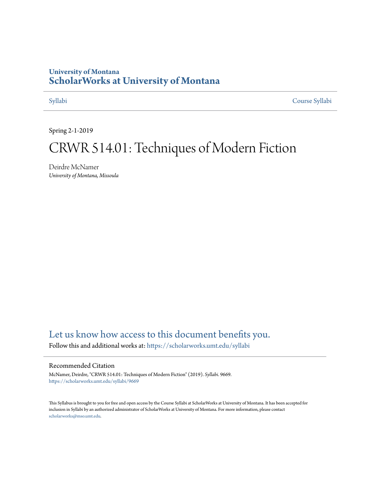## **University of Montana [ScholarWorks at University of Montana](https://scholarworks.umt.edu?utm_source=scholarworks.umt.edu%2Fsyllabi%2F9669&utm_medium=PDF&utm_campaign=PDFCoverPages)**

[Syllabi](https://scholarworks.umt.edu/syllabi?utm_source=scholarworks.umt.edu%2Fsyllabi%2F9669&utm_medium=PDF&utm_campaign=PDFCoverPages) [Course Syllabi](https://scholarworks.umt.edu/course_syllabi?utm_source=scholarworks.umt.edu%2Fsyllabi%2F9669&utm_medium=PDF&utm_campaign=PDFCoverPages)

Spring 2-1-2019

# CRWR 514.01: Techniques of Modern Fiction

Deirdre McNamer *University of Montana, Missoula*

# [Let us know how access to this document benefits you.](https://goo.gl/forms/s2rGfXOLzz71qgsB2)

Follow this and additional works at: [https://scholarworks.umt.edu/syllabi](https://scholarworks.umt.edu/syllabi?utm_source=scholarworks.umt.edu%2Fsyllabi%2F9669&utm_medium=PDF&utm_campaign=PDFCoverPages)

#### Recommended Citation

McNamer, Deirdre, "CRWR 514.01: Techniques of Modern Fiction" (2019). *Syllabi*. 9669. [https://scholarworks.umt.edu/syllabi/9669](https://scholarworks.umt.edu/syllabi/9669?utm_source=scholarworks.umt.edu%2Fsyllabi%2F9669&utm_medium=PDF&utm_campaign=PDFCoverPages)

This Syllabus is brought to you for free and open access by the Course Syllabi at ScholarWorks at University of Montana. It has been accepted for inclusion in Syllabi by an authorized administrator of ScholarWorks at University of Montana. For more information, please contact [scholarworks@mso.umt.edu](mailto:scholarworks@mso.umt.edu).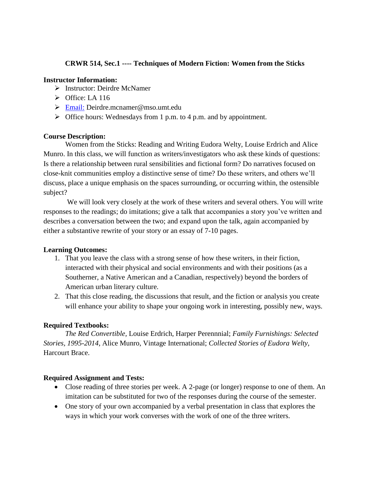### **CRWR 514, Sec.1 ---- Techniques of Modern Fiction: Women from the Sticks**

#### **Instructor Information:**

- Instructor: Deirdre McNamer
- $\triangleright$  Office: LA 116
- [Email:](mailto:Deirdre.mcnamer@mso.umt.edu) Deirdre.mcnamer@mso.umt.edu
- $\triangleright$  Office hours: Wednesdays from 1 p.m. to 4 p.m. and by appointment.

### **Course Description:**

Women from the Sticks: Reading and Writing Eudora Welty, Louise Erdrich and Alice Munro. In this class, we will function as writers/investigators who ask these kinds of questions: Is there a relationship between rural sensibilities and fictional form? Do narratives focused on close-knit communities employ a distinctive sense of time? Do these writers, and others we'll discuss, place a unique emphasis on the spaces surrounding, or occurring within, the ostensible subject?

We will look very closely at the work of these writers and several others. You will write responses to the readings; do imitations; give a talk that accompanies a story you've written and describes a conversation between the two; and expand upon the talk, again accompanied by either a substantive rewrite of your story or an essay of 7-10 pages.

### **Learning Outcomes:**

- 1. That you leave the class with a strong sense of how these writers, in their fiction, interacted with their physical and social environments and with their positions (as a Southerner, a Native American and a Canadian, respectively) beyond the borders of American urban literary culture.
- 2. That this close reading, the discussions that result, and the fiction or analysis you create will enhance your ability to shape your ongoing work in interesting, possibly new, ways.

### **Required Textbooks:**

*The Red Convertible,* Louise Erdrich, Harper Perennnial; *Family Furnishings: Selected Stories, 1995-2014,* Alice Munro, Vintage International; *Collected Stories of Eudora Welty,*  Harcourt Brace.

### **Required Assignment and Tests:**

- Close reading of three stories per week. A 2-page (or longer) response to one of them. An imitation can be substituted for two of the responses during the course of the semester.
- One story of your own accompanied by a verbal presentation in class that explores the ways in which your work converses with the work of one of the three writers.